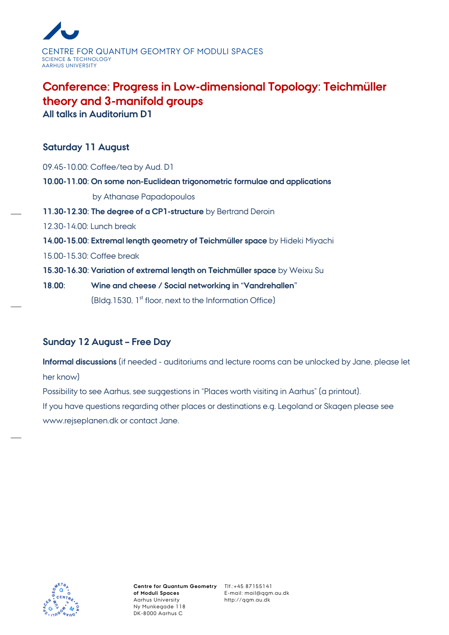

# **Conference: [Progress in Low-dimensional Topology: Teichmüller](http://qgm.au.dk/cal/special/2012/progress/)  [theory and 3-manifold groups](http://qgm.au.dk/cal/special/2012/progress/)**

**All talks in Auditorium D1**

## **Saturday 11 August**

| 18.00: | Wine and cheese / Social networking in "Vandrehallen"                        |
|--------|------------------------------------------------------------------------------|
|        | 15.30-16.30: Variation of extremal length on Teichmüller space by Weixu Su   |
|        | 15.00-15.30: Coffee break                                                    |
|        | 14.00-15.00: Extremal length geometry of Teichmüller space by Hideki Miyachi |
|        | 12.30-14.00: Lunch break                                                     |
|        | 11.30-12.30: The degree of a CP1-structure by Bertrand Deroin                |
|        | by Athanase Papadopoulos                                                     |
|        | 10.00-11.00: On some non-Euclidean trigonometric formulae and applications   |
|        | 09.45-10.00: Coffee/tea by Aud. D1                                           |

(Bldg.1530, 1<sup>st</sup> floor, next to the Information Office)

### **Sunday 12 August – Free Day**

**Informal discussions** (if needed - auditoriums and lecture rooms can be unlocked by Jane, please let her know)

Possibility to see Aarhus, see suggestions in "Places worth visiting in Aarhus" (a printout). If you have questions regarding other places or destinations e.g. Legoland or Skagen please see www.rejseplanen.dk or contact Jane.



E-mail: mail@qgm.au.dk http://qgm.au.dk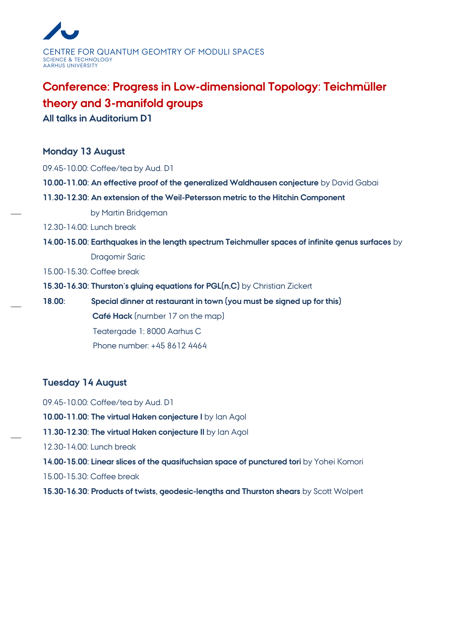

# **Conference: [Progress in Low-dimensional Topology: Teichmüller](http://qgm.au.dk/cal/special/2012/progress/)  [theory and 3-manifold groups](http://qgm.au.dk/cal/special/2012/progress/)**

**All talks in Auditorium D1**

#### **Monday 13 August**

09.45-10.00: Coffee/tea by Aud. D1

- **10.00-11.00: An effective proof of the generalized Waldhausen conjecture** by David Gabai
- **11.30-12.30: An extension of the Weil-Petersson metric to the Hitchin Component**

by Martin Bridgeman

#### 12.30-14.00: Lunch break

#### **14.00-15.00: Earthquakes in the length spectrum Teichmuller spaces of infinite genus surfaces** by

Dragomir Saric

15.00-15.30: Coffee break

**15.30-16.30: Thurston's gluing equations for PGL(n,C)** by Christian Zickert

**18.00: Special dinner at restaurant in town (you must be signed up for this) Café Hack** (number 17 on the map) Teatergade 1; 8000 Aarhus C Phone number: +45 8612 4464

### **Tuesday 14 August**

09.45-10.00: Coffee/tea by Aud. D1 **10.00-11.00: The virtual Haken conjecture I** by Ian Agol **11.30-12.30: The virtual Haken conjecture II** by Ian Agol 12.30-14.00: Lunch break **14.00-15.00: Linear slices of the quasifuchsian space of punctured tori** by Yohei Komori 15.00-15.30: Coffee break **15.30-16.30: Products of twists, geodesic-lengths and Thurston shears** by Scott Wolpert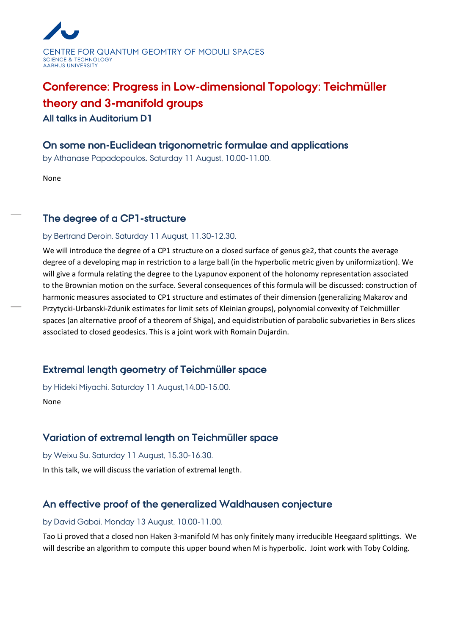

# **Conference: [Progress in Low-dimensional Topology: Teichmüller](http://qgm.au.dk/cal/special/2012/progress/)  [theory and 3-manifold groups](http://qgm.au.dk/cal/special/2012/progress/)**

**All talks in Auditorium D1**

### **On some non-Euclidean trigonometric formulae and applications**

by Athanase Papadopoulos**.** Saturday 11 August, 10.00-11.00.

None

## **The degree of a CP1-structure**

#### by Bertrand Deroin. Saturday 11 August, 11.30-12.30.

We will introduce the degree of a CP1 structure on a closed surface of genus g≥2, that counts the average degree of a developing map in restriction to a large ball (in the hyperbolic metric given by uniformization). We will give a formula relating the degree to the Lyapunov exponent of the holonomy representation associated to the Brownian motion on the surface. Several consequences of this formula will be discussed: construction of harmonic measures associated to CP1 structure and estimates of their dimension (generalizing Makarov and Przytycki-Urbanski-Zdunik estimates for limit sets of Kleinian groups), polynomial convexity of Teichmüller spaces (an alternative proof of a theorem of Shiga), and equidistribution of parabolic subvarieties in Bers slices associated to closed geodesics. This is a joint work with Romain Dujardin.

# **Extremal length geometry of Teichmüller space**

by Hideki Miyachi. Saturday 11 August,14.00-15.00. None

# **Variation of extremal length on Teichmüller space**

by Weixu Su. Saturday 11 August, 15.30-16.30. In this talk, we will discuss the variation of extremal length.

# **An effective proof of the generalized Waldhausen conjecture**

#### by David Gabai. Monday 13 August, 10.00-11.00.

Tao Li proved that a closed non Haken 3-manifold M has only finitely many irreducible Heegaard splittings. We will describe an algorithm to compute this upper bound when M is hyperbolic. Joint work with Toby Colding.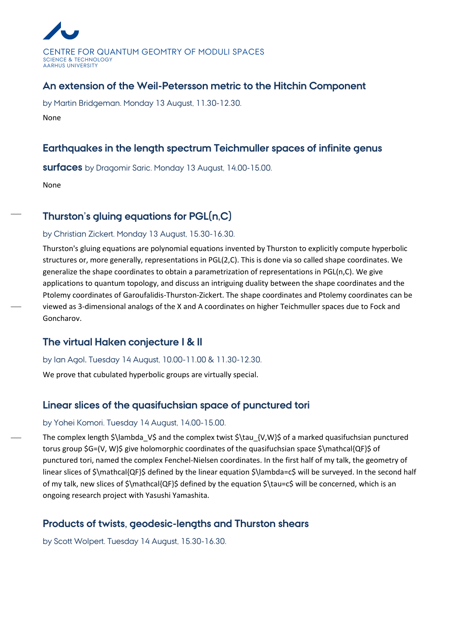

## **An extension of the Weil-Petersson metric to the Hitchin Component**

by Martin Bridgeman. Monday 13 August, 11.30-12.30. None

## **Earthquakes in the length spectrum Teichmuller spaces of infinite genus**

**surfaces** by Dragomir Saric. Monday 13 August, 14.00-15.00.

None

# **Thurston's gluing equations for PGL(n,C)**

#### by Christian Zickert. Monday 13 August, 15.30-16.30.

Thurston's gluing equations are polynomial equations invented by Thurston to explicitly compute hyperbolic structures or, more generally, representations in PGL(2,C). This is done via so called shape coordinates. We generalize the shape coordinates to obtain a parametrization of representations in PGL(n,C). We give applications to quantum topology, and discuss an intriguing duality between the shape coordinates and the Ptolemy coordinates of Garoufalidis-Thurston-Zickert. The shape coordinates and Ptolemy coordinates can be viewed as 3-dimensional analogs of the X and A coordinates on higher Teichmuller spaces due to Fock and Goncharov.

# **The virtual Haken conjecture I & II**

by Ian Agol**.** Tuesday 14 August, 10.00-11.00 & 11.30-12.30.

We prove that cubulated hyperbolic groups are virtually special.

# **Linear slices of the quasifuchsian space of punctured tori**

#### by Yohei Komori. Tuesday 14 August, 14.00-15.00.

The complex length \$\lambda\_V\$ and the complex twist \$\tau\_{V,W}\$ of a marked quasifuchsian punctured torus group \$G=(V, W)\$ give holomorphic coordinates of the quasifuchsian space \$\mathcal{QF}\$ of punctured tori, named the complex Fenchel-Nielsen coordinates. In the first half of my talk, the geometry of linear slices of \$\mathcal{QF}\$ defined by the linear equation \$\lambda=c\$ will be surveyed. In the second half of my talk, new slices of \$\mathcal{QF}\$ defined by the equation \$\tau=c\$ will be concerned, which is an ongoing research project with Yasushi Yamashita.

# **Products of twists, geodesic-lengths and Thurston shears**

by Scott Wolpert. Tuesday 14 August, 15.30-16.30.